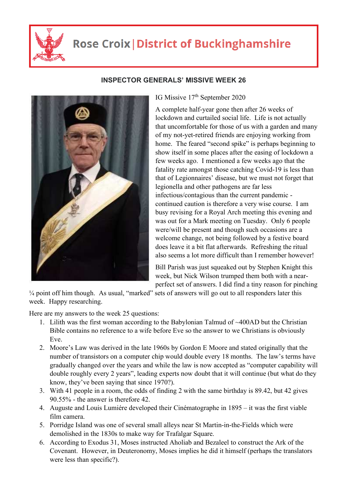

## **Rose Croix | District of Buckinghamshire**



## **INSPECTOR GENERALS' MISSIVE WEEK 26**

IG Missive 17<sup>th</sup> September 2020

A complete half-year gone then after 26 weeks of lockdown and curtailed social life. Life is not actually that uncomfortable for those of us with a garden and many of my not-yet-retired friends are enjoying working from home. The feared "second spike" is perhaps beginning to show itself in some places after the easing of lockdown a few weeks ago. I mentioned a few weeks ago that the fatality rate amongst those catching Covid-19 is less than that of Legionnaires' disease, but we must not forget that legionella and other pathogens are far less infectious/contagious than the current pandemic continued caution is therefore a very wise course. I am busy revising for a Royal Arch meeting this evening and was out for a Mark meeting on Tuesday. Only 6 people were/will be present and though such occasions are a welcome change, not being followed by a festive board does leave it a bit flat afterwards. Refreshing the ritual also seems a lot more difficult than I remember however!

Bill Parish was just squeaked out by Stephen Knight this week, but Nick Wilson trumped them both with a nearperfect set of answers. I did find a tiny reason for pinching

¼ point off him though. As usual, "marked" sets of answers will go out to all responders later this week. Happy researching.

Here are my answers to the week 25 questions:

- 1. Lilith was the first woman according to the Babylonian Talmud of ~400AD but the Christian Bible contains no reference to a wife before Eve so the answer to we Christians is obviously Eve.
- 2. Moore's Law was derived in the late 1960s by Gordon E Moore and stated originally that the number of transistors on a computer chip would double every 18 months. The law's terms have gradually changed over the years and while the law is now accepted as "computer capability will double roughly every 2 years", leading experts now doubt that it will continue (but what do they know, they've been saying that since 1970?).
- 3. With 41 people in a room, the odds of finding 2 with the same birthday is 89.42, but 42 gives 90.55% - the answer is therefore 42.
- 4. Auguste and Louis Lumiére developed their Cinématographe in 1895 it was the first viable film camera.
- 5. Porridge Island was one of several small alleys near St Martin-in-the-Fields which were demolished in the 1830s to make way for Trafalgar Square.
- 6. According to Exodus 31, Moses instructed Aholiab and Bezaleel to construct the Ark of the Covenant. However, in Deuteronomy, Moses implies he did it himself (perhaps the translators were less than specific?).